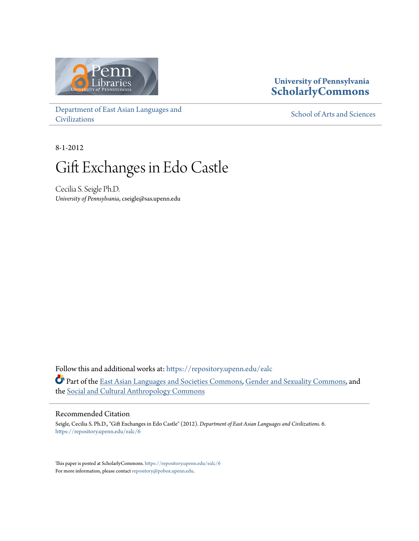

## **University of Pennsylvania [ScholarlyCommons](https://repository.upenn.edu?utm_source=repository.upenn.edu%2Fealc%2F6&utm_medium=PDF&utm_campaign=PDFCoverPages)**

[Department of East Asian Languages and](https://repository.upenn.edu/ealc?utm_source=repository.upenn.edu%2Fealc%2F6&utm_medium=PDF&utm_campaign=PDFCoverPages) [Civilizations](https://repository.upenn.edu/ealc?utm_source=repository.upenn.edu%2Fealc%2F6&utm_medium=PDF&utm_campaign=PDFCoverPages)

[School of Arts and Sciences](https://repository.upenn.edu/sas?utm_source=repository.upenn.edu%2Fealc%2F6&utm_medium=PDF&utm_campaign=PDFCoverPages)

8-1-2012

# Gift Exchanges in Edo Castle

Cecilia S. Seigle Ph.D. *University of Pennsylvania*, cseigle@sas.upenn.edu

Follow this and additional works at: [https://repository.upenn.edu/ealc](https://repository.upenn.edu/ealc?utm_source=repository.upenn.edu%2Fealc%2F6&utm_medium=PDF&utm_campaign=PDFCoverPages) Part of the [East Asian Languages and Societies Commons,](http://network.bepress.com/hgg/discipline/481?utm_source=repository.upenn.edu%2Fealc%2F6&utm_medium=PDF&utm_campaign=PDFCoverPages) [Gender and Sexuality Commons](http://network.bepress.com/hgg/discipline/420?utm_source=repository.upenn.edu%2Fealc%2F6&utm_medium=PDF&utm_campaign=PDFCoverPages), and the [Social and Cultural Anthropology Commons](http://network.bepress.com/hgg/discipline/323?utm_source=repository.upenn.edu%2Fealc%2F6&utm_medium=PDF&utm_campaign=PDFCoverPages)

#### Recommended Citation

Seigle, Cecilia S. Ph.D., "Gift Exchanges in Edo Castle" (2012). *Department of East Asian Languages and Civilizations*. 6. [https://repository.upenn.edu/ealc/6](https://repository.upenn.edu/ealc/6?utm_source=repository.upenn.edu%2Fealc%2F6&utm_medium=PDF&utm_campaign=PDFCoverPages)

This paper is posted at ScholarlyCommons. <https://repository.upenn.edu/ealc/6> For more information, please contact [repository@pobox.upenn.edu.](mailto:repository@pobox.upenn.edu)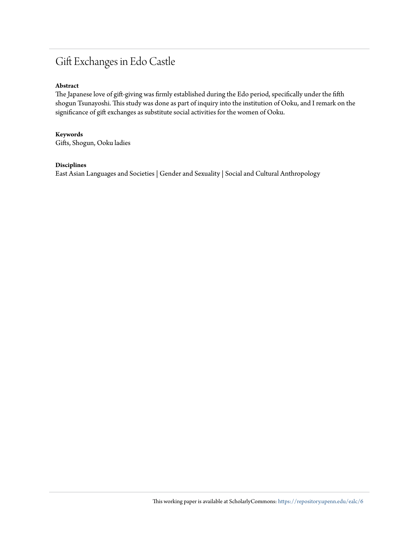# Gift Exchanges in Edo Castle

#### **Abstract**

The Japanese love of gift-giving was firmly established during the Edo period, specifically under the fifth shogun Tsunayoshi. This study was done as part of inquiry into the institution of Ooku, and I remark on the significance of gift exchanges as substitute social activities for the women of Ooku.

#### **Keywords**

Gifts, Shogun, Ooku ladies

#### **Disciplines**

East Asian Languages and Societies | Gender and Sexuality | Social and Cultural Anthropology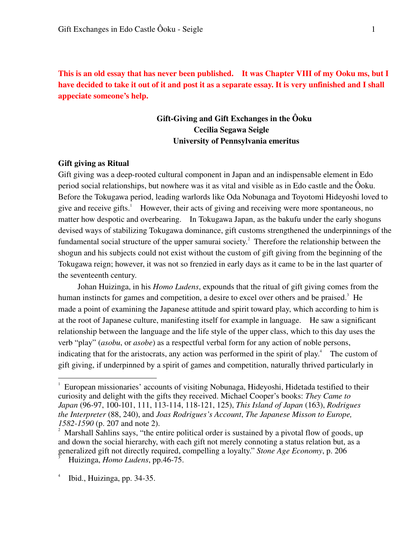**This is an old essay that has never been published. It was Chapter VIII of my Ooku ms, but I have decided to take it out of it and post it as a separate essay. It is very unfinished and I shall appeciate someone's help.** 

### **Gift-Giving and Gift Exchanges in the Ôoku Cecilia Segawa Seigle University of Pennsylvania emeritus**

#### **Gift giving as Ritual**

Gift giving was a deep-rooted cultural component in Japan and an indispensable element in Edo period social relationships, but nowhere was it as vital and visible as in Edo castle and the Ôoku. Before the Tokugawa period, leading warlords like Oda Nobunaga and Toyotomi Hideyoshi loved to give and receive gifts.<sup>1</sup> However, their acts of giving and receiving were more spontaneous, no matter how despotic and overbearing. In Tokugawa Japan, as the bakufu under the early shoguns devised ways of stabilizing Tokugawa dominance, gift customs strengthened the underpinnings of the fundamental social structure of the upper samurai society.<sup>2</sup> Therefore the relationship between the shogun and his subjects could not exist without the custom of gift giving from the beginning of the Tokugawa reign; however, it was not so frenzied in early days as it came to be in the last quarter of the seventeenth century.

 Johan Huizinga, in his *Homo Ludens*, expounds that the ritual of gift giving comes from the human instincts for games and competition, a desire to excel over others and be praised.<sup>3</sup> He made a point of examining the Japanese attitude and spirit toward play, which according to him is at the root of Japanese culture, manifesting itself for example in language. He saw a significant relationship between the language and the life style of the upper class, which to this day uses the verb "play" (*asobu*, or *asobe*) as a respectful verbal form for any action of noble persons, indicating that for the aristocrats, any action was performed in the spirit of play.<sup>4</sup> The custom of gift giving, if underpinned by a spirit of games and competition, naturally thrived particularly in

<sup>1</sup> European missionaries' accounts of visiting Nobunaga, Hideyoshi, Hidetada testified to their curiosity and delight with the gifts they received. Michael Cooper's books: *They Came to Japan* (96-97, 100-101, 111, 113-114, 118-121, 125), *This Island of Japan* (163), *Rodrigues the Interpreter* (88, 240), and *Joas Rodrigues's Account*, *The Japanese Misson to Europe, 1582-1590* (p. 207 and note 2).

<sup>2</sup> Marshall Sahlins says, "the entire political order is sustained by a pivotal flow of goods, up and down the social hierarchy, with each gift not merely connoting a status relation but, as a generalized gift not directly required, compelling a loyalty." *Stone Age Economy*, p. 206 3 Huizinga, *Homo Ludens*, pp.46-75.

<sup>4</sup> Ibid., Huizinga, pp. 34-35.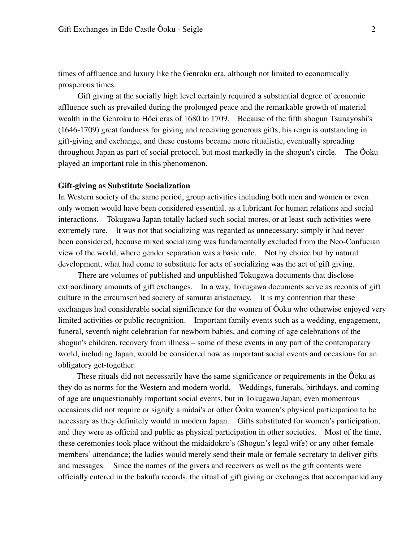times of affluence and luxury like the Genroku era, although not limited to economically prosperous times.

 Gift giving at the socially high level certainly required a substantial degree of economic affluence such as prevailed during the prolonged peace and the remarkable growth of material wealth in the Genroku to Hôei eras of 1680 to 1709. Because of the fifth shogun Tsunayoshi's (1646-1709) great fondness for giving and receiving generous gifts, his reign is outstanding in gift-giving and exchange, and these customs became more ritualistic, eventually spreading throughout Japan as part of social protocol, but most markedly in the shogun's circle. The Ôoku played an important role in this phenomenon.

#### **Gift-giving as Substitute Socialization**

In Western society of the same period, group activities including both men and women or even only women would have been considered essential, as a lubricant for human relations and social interactions. Tokugawa Japan totally lacked such social mores, or at least such activities were extremely rare. It was not that socializing was regarded as unnecessary; simply it had never been considered, because mixed socializing was fundamentally excluded from the Neo-Confucian view of the world, where gender separation was a basic rule. Not by choice but by natural development, what had come to substitute for acts of socializing was the act of gift giving.

 There are volumes of published and unpublished Tokugawa documents that disclose extraordinary amounts of gift exchanges. In a way, Tokugawa documents serve as records of gift culture in the circumscribed society of samurai aristocracy. It is my contention that these exchanges had considerable social significance for the women of Ôoku who otherwise enjoyed very limited activities or public recognition. Important family events such as a wedding, engagement, funeral, seventh night celebration for newborn babies, and coming of age celebrations of the shogun's children, recovery from illness – some of these events in any part of the contemporary world, including Japan, would be considered now as important social events and occasions for an obligatory get-together.

 These rituals did not necessarily have the same significance or requirements in the Ôoku as they do as norms for the Western and modern world. Weddings, funerals, birthdays, and coming of age are unquestionably important social events, but in Tokugawa Japan, even momentous occasions did not require or signify a midai's or other Ôoku women's physical participation to be necessary as they definitely would in modern Japan. Gifts substituted for women's participation, and they were as official and public as physical participation in other societies. Most of the time, these ceremonies took place without the midaidokro's (Shogun's legal wife) or any other female members' attendance; the ladies would merely send their male or female secretary to deliver gifts and messages. Since the names of the givers and receivers as well as the gift contents were officially entered in the bakufu records, the ritual of gift giving or exchanges that accompanied any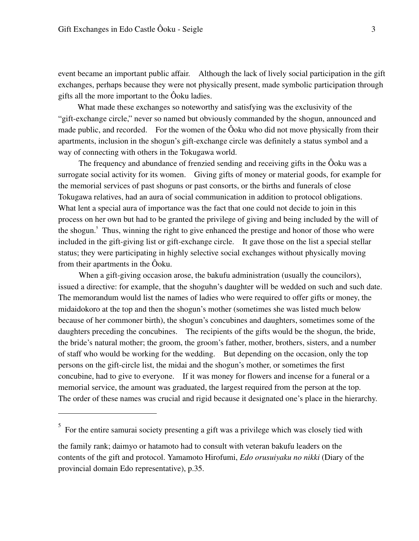<u>.</u>

event became an important public affair. Although the lack of lively social participation in the gift exchanges, perhaps because they were not physically present, made symbolic participation through gifts all the more important to the Ôoku ladies.

 What made these exchanges so noteworthy and satisfying was the exclusivity of the "gift-exchange circle," never so named but obviously commanded by the shogun, announced and made public, and recorded. For the women of the Ôoku who did not move physically from their apartments, inclusion in the shogun's gift-exchange circle was definitely a status symbol and a way of connecting with others in the Tokugawa world.

The frequency and abundance of frenzied sending and receiving gifts in the Ôoku was a surrogate social activity for its women. Giving gifts of money or material goods, for example for the memorial services of past shoguns or past consorts, or the births and funerals of close Tokugawa relatives, had an aura of social communication in addition to protocol obligations. What lent a special aura of importance was the fact that one could not decide to join in this process on her own but had to be granted the privilege of giving and being included by the will of the shogun.<sup>5</sup> Thus, winning the right to give enhanced the prestige and honor of those who were included in the gift-giving list or gift-exchange circle. It gave those on the list a special stellar status; they were participating in highly selective social exchanges without physically moving from their apartments in the Ôoku.

 When a gift-giving occasion arose, the bakufu administration (usually the councilors), issued a directive: for example, that the shoguhn's daughter will be wedded on such and such date. The memorandum would list the names of ladies who were required to offer gifts or money, the midaidokoro at the top and then the shogun's mother (sometimes she was listed much below because of her commoner birth), the shogun's concubines and daughters, sometimes some of the daughters preceding the concubines. The recipients of the gifts would be the shogun, the bride, the bride's natural mother; the groom, the groom's father, mother, brothers, sisters, and a number of staff who would be working for the wedding. But depending on the occasion, only the top persons on the gift-circle list, the midai and the shogun's mother, or sometimes the first concubine, had to give to everyone. If it was money for flowers and incense for a funeral or a memorial service, the amount was graduated, the largest required from the person at the top. The order of these names was crucial and rigid because it designated one's place in the hierarchy.

<sup>5</sup> For the entire samurai society presenting a gift was a privilege which was closely tied with

the family rank; daimyo or hatamoto had to consult with veteran bakufu leaders on the contents of the gift and protocol. Yamamoto Hirofumi, *Edo orusuiyaku no nikki* (Diary of the provincial domain Edo representative), p.35.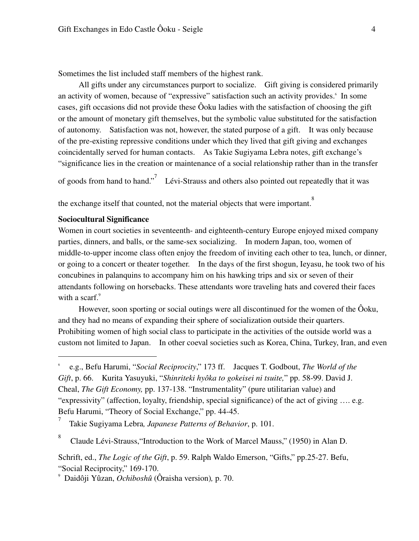Sometimes the list included staff members of the highest rank.

 All gifts under any circumstances purport to socialize. Gift giving is considered primarily an activity of women, because of "expressive" satisfaction such an activity provides. In some cases, gift occasions did not provide these Ôoku ladies with the satisfaction of choosing the gift or the amount of monetary gift themselves, but the symbolic value substituted for the satisfaction of autonomy. Satisfaction was not, however, the stated purpose of a gift. It was only because of the pre-existing repressive conditions under which they lived that gift giving and exchanges coincidentally served for human contacts. As Takie Sugiyama Lebra notes, gift exchange's "significance lies in the creation or maintenance of a social relationship rather than in the transfer

of goods from hand to hand." Lévi-Strauss and others also pointed out repeatedly that it was

the exchange itself that counted, not the material objects that were important.<sup>8</sup>

#### **Sociocultural Significance**

-

8

Women in court societies in seventeenth- and eighteenth-century Europe enjoyed mixed company parties, dinners, and balls, or the same-sex socializing. In modern Japan, too, women of middle-to-upper income class often enjoy the freedom of inviting each other to tea, lunch, or dinner, or going to a concert or theater together. In the days of the first shogun, Ieyasu, he took two of his concubines in palanquins to accompany him on his hawking trips and six or seven of their attendants following on horsebacks. These attendants wore traveling hats and covered their faces with a scarf. $9$ 

However, soon sporting or social outings were all discontinued for the women of the Ôoku, and they had no means of expanding their sphere of socialization outside their quarters. Prohibiting women of high social class to participate in the activities of the outside world was a custom not limited to Japan. In other coeval societies such as Korea, China, Turkey, Iran, and even

<sup>6</sup> e.g., Befu Harumi, "*Social Reciprocity*," 173 ff. Jacques T. Godbout, *The World of the Gift*, p. 66. Kurita Yasuyuki, "*Shinriteki hyôka to gokeisei ni tsuite,*" pp. 58-99. David J. Cheal, *The Gift Economy,* pp. 137-138. "Instrumentality" (pure utilitarian value) and "expressivity" (affection, loyalty, friendship, special significance) of the act of giving …. e.g. Befu Harumi, "Theory of Social Exchange," pp. 44-45.

<sup>7</sup> Takie Sugiyama Lebra*, Japanese Patterns of Behavior*, p. 101.

Claude Lévi-Strauss,"Introduction to the Work of Marcel Mauss," (1950) in Alan D.

Schrift, ed., *The Logic of the Gift*, p. 59. Ralph Waldo Emerson, "Gifts," pp.25-27. Befu, "Social Reciprocity," 169-170.

<sup>9</sup> Daidôji Yûzan, *Ochiboshû* (Ôraisha version)*,* p. 70.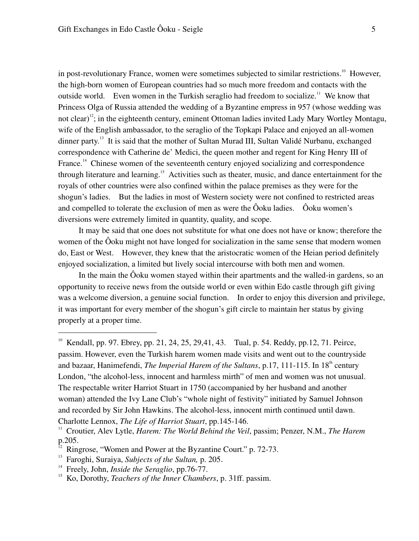in post-revolutionary France, women were sometimes subjected to similar restrictions.<sup>10</sup> However, the high-born women of European countries had so much more freedom and contacts with the outside world. Even women in the Turkish seraglio had freedom to socialize.<sup>11</sup> We know that Princess Olga of Russia attended the wedding of a Byzantine empress in 957 (whose wedding was not clear)<sup>12</sup>; in the eighteenth century, eminent Ottoman ladies invited Lady Mary Wortley Montagu, wife of the English ambassador, to the seraglio of the Topkapi Palace and enjoyed an all-women dinner party.<sup>13</sup> It is said that the mother of Sultan Murad III, Sultan Validé Nurbanu, exchanged correspondence with Catherine de' Medici, the queen mother and regent for King Henry III of France.<sup>14</sup> Chinese women of the seventeenth century enjoyed socializing and correspondence through literature and learning.<sup>15</sup> Activities such as theater, music, and dance entertainment for the royals of other countries were also confined within the palace premises as they were for the shogun's ladies. But the ladies in most of Western society were not confined to restricted areas and compelled to tolerate the exclusion of men as were the Ôoku ladies. Ôoku women's diversions were extremely limited in quantity, quality, and scope.

It may be said that one does not substitute for what one does not have or know; therefore the women of the Ôoku might not have longed for socialization in the same sense that modern women do, East or West. However, they knew that the aristocratic women of the Heian period definitely enjoyed socialization, a limited but lively social intercourse with both men and women.

In the main the Ôoku women stayed within their apartments and the walled-in gardens, so an opportunity to receive news from the outside world or even within Edo castle through gift giving was a welcome diversion, a genuine social function. In order to enjoy this diversion and privilege, it was important for every member of the shogun's gift circle to maintain her status by giving properly at a proper time.

<sup>&</sup>lt;sup>10</sup> Kendall, pp. 97. Ebrey, pp. 21, 24, 25, 29,41, 43. Tual, p. 54. Reddy, pp.12, 71. Peirce, passim. However, even the Turkish harem women made visits and went out to the countryside and bazaar, Hanimefendi, *The Imperial Harem of the Sultans*, p.17, 111-115. In 18<sup>th</sup> century London, "the alcohol-less, innocent and harmless mirth" of men and women was not unusual. The respectable writer Harriot Stuart in 1750 (accompanied by her husband and another woman) attended the Ivy Lane Club's "whole night of festivity" initiated by Samuel Johnson and recorded by Sir John Hawkins. The alcohol-less, innocent mirth continued until dawn. Charlotte Lennox, *The Life of Harriot Stuart*, pp.145-146.

<sup>11</sup> Croutier, Alev Lytle, *Harem: The World Behind the Veil*, passim; Penzer, N.M., *The Harem* p.205.

Ringrose, "Women and Power at the Byzantine Court." p. 72-73.

<sup>13</sup> Faroghi, Suraiya, *Subjects of the Sultan,* p. 205.

<sup>&</sup>lt;sup>14</sup> Freely, John, *Inside the Seraglio*, pp.76-77.<br><sup>15</sup> Ko Dorothy *Teachers of the Inner Chambe* 

<sup>15</sup> Ko, Dorothy, *Teachers of the Inner Chambers*, p. 31ff. passim.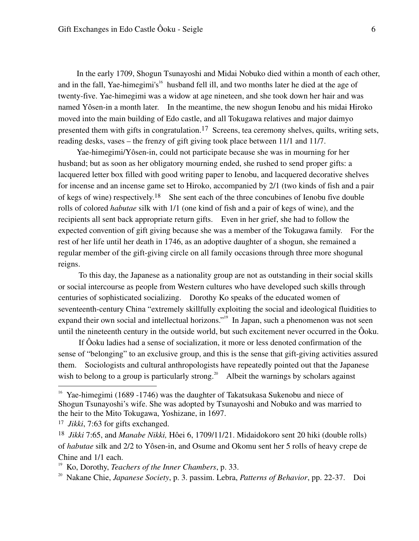In the early 1709, Shogun Tsunayoshi and Midai Nobuko died within a month of each other, and in the fall, Yae-himegimi's<sup>16</sup> husband fell ill, and two months later he died at the age of twenty-five. Yae-himegimi was a widow at age nineteen, and she took down her hair and was named Yôsen-in a month later. In the meantime, the new shogun Ienobu and his midai Hiroko moved into the main building of Edo castle, and all Tokugawa relatives and major daimyo presented them with gifts in congratulation.17 Screens, tea ceremony shelves, quilts, writing sets, reading desks, vases – the frenzy of gift giving took place between 11/1 and 11/7.

Yae-himegimi/Yôsen-in, could not participate because she was in mourning for her husband; but as soon as her obligatory mourning ended, she rushed to send proper gifts: a lacquered letter box filled with good writing paper to Ienobu, and lacquered decorative shelves for incense and an incense game set to Hiroko, accompanied by 2/1 (two kinds of fish and a pair of kegs of wine) respectively.18 She sent each of the three concubines of Ienobu five double rolls of colored *habutae* silk with 1/1 (one kind of fish and a pair of kegs of wine), and the recipients all sent back appropriate return gifts. Even in her grief, she had to follow the expected convention of gift giving because she was a member of the Tokugawa family. For the rest of her life until her death in 1746, as an adoptive daughter of a shogun, she remained a regular member of the gift-giving circle on all family occasions through three more shogunal reigns.

To this day, the Japanese as a nationality group are not as outstanding in their social skills or social intercourse as people from Western cultures who have developed such skills through centuries of sophisticated socializing. Dorothy Ko speaks of the educated women of seventeenth-century China "extremely skillfully exploiting the social and ideological fluidities to expand their own social and intellectual horizons."<sup>19</sup> In Japan, such a phenomenon was not seen until the nineteenth century in the outside world, but such excitement never occurred in the Ôoku.

If Ôoku ladies had a sense of socialization, it more or less denoted confirmation of the sense of "belonging" to an exclusive group, and this is the sense that gift-giving activities assured them. Sociologists and cultural anthropologists have repeatedly pointed out that the Japanese wish to belong to a group is particularly strong.<sup>20</sup> Albeit the warnings by scholars against

<sup>&</sup>lt;sup>16</sup> Yae-himegimi (1689 -1746) was the daughter of Takatsukasa Sukenobu and niece of Shogun Tsunayoshi's wife. She was adopted by Tsunayoshi and Nobuko and was married to the heir to the Mito Tokugawa, Yoshizane, in 1697.

<sup>17</sup> *Jikki*, 7:63 for gifts exchanged.

<sup>18</sup> *Jikki* 7:65, and *Manabe Nikki,* Hôei 6, 1709/11/21. Midaidokoro sent 20 hiki (double rolls) of *habutae* silk and 2/2 to Yôsen-in, and Osume and Okomu sent her 5 rolls of heavy crepe de Chine and 1/1 each.

<sup>19</sup> Ko, Dorothy, *Teachers of the Inner Chambers*, p. 33.

<sup>20</sup> Nakane Chie, *Japanese Society*, p. 3. passim. Lebra, *Patterns of Behavior*, pp. 22-37. Doi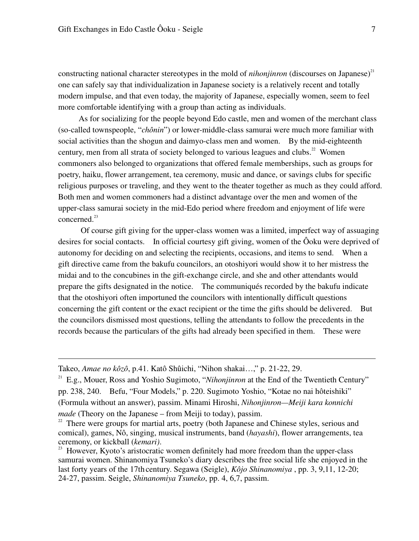constructing national character stereotypes in the mold of *nihonjinron* (discourses on Japanese)<sup>21</sup> one can safely say that individualization in Japanese society is a relatively recent and totally modern impulse, and that even today, the majority of Japanese, especially women, seem to feel more comfortable identifying with a group than acting as individuals.

As for socializing for the people beyond Edo castle, men and women of the merchant class (so-called townspeople, "*chônin*") or lower-middle-class samurai were much more familiar with social activities than the shogun and daimyo-class men and women. By the mid-eighteenth century, men from all strata of society belonged to various leagues and clubs.<sup>22</sup> Women commoners also belonged to organizations that offered female memberships, such as groups for poetry, haiku, flower arrangement, tea ceremony, music and dance, or savings clubs for specific religious purposes or traveling, and they went to the theater together as much as they could afford. Both men and women commoners had a distinct advantage over the men and women of the upper-class samurai society in the mid-Edo period where freedom and enjoyment of life were concerned<sup>23</sup>

 Of course gift giving for the upper-class women was a limited, imperfect way of assuaging desires for social contacts. In official courtesy gift giving, women of the Ôoku were deprived of autonomy for deciding on and selecting the recipients, occasions, and items to send. When a gift directive came from the bakufu councilors, an otoshiyori would show it to her mistress the midai and to the concubines in the gift-exchange circle, and she and other attendants would prepare the gifts designated in the notice. The communiqués recorded by the bakufu indicate that the otoshiyori often importuned the councilors with intentionally difficult questions concerning the gift content or the exact recipient or the time the gifts should be delivered. But the councilors dismissed most questions, telling the attendants to follow the precedents in the records because the particulars of the gifts had already been specified in them. These were

Takeo, *Amae no kôzô*, p.41. Katô Shûichi, "Nihon shakai…," p. 21-22, 29.

-

<sup>21</sup> E.g., Mouer, Ross and Yoshio Sugimoto, "*Nihonjinron* at the End of the Twentieth Century" pp. 238, 240. Befu, "Four Models," p. 220. Sugimoto Yoshio, "Kotae no nai hôteishiki" (Formula without an answer), passim. Minami Hiroshi, *Nihonjinron—Meiji kara konnichi made* (Theory on the Japanese – from Meiji to today), passim.

<sup>&</sup>lt;sup>22</sup> There were groups for martial arts, poetry (both Japanese and Chinese styles, serious and comical), games, Nô, singing, musical instruments, band (*hayashi*), flower arrangements, tea ceremony, or kickball (*kemari)*.

 $23$  However, Kyoto's aristocratic women definitely had more freedom than the upper-class samurai women. Shinanomiya Tsuneko's diary describes the free social life she enjoyed in the last forty years of the 17th century. Segawa (Seigle), *Kôjo Shinanomiya* , pp. 3, 9,11, 12-20; 24-27, passim. Seigle, *Shinanomiya Tsuneko*, pp. 4, 6,7, passim.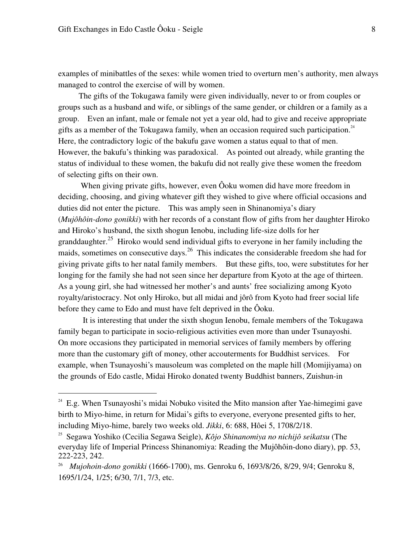-

examples of minibattles of the sexes: while women tried to overturn men's authority, men always managed to control the exercise of will by women.

The gifts of the Tokugawa family were given individually, never to or from couples or groups such as a husband and wife, or siblings of the same gender, or children or a family as a group. Even an infant, male or female not yet a year old, had to give and receive appropriate gifts as a member of the Tokugawa family, when an occasion required such participation. $24$ Here, the contradictory logic of the bakufu gave women a status equal to that of men. However, the bakufu's thinking was paradoxical. As pointed out already, while granting the status of individual to these women, the bakufu did not really give these women the freedom of selecting gifts on their own.

 When giving private gifts, however, even Ôoku women did have more freedom in deciding, choosing, and giving whatever gift they wished to give where official occasions and duties did not enter the picture. This was amply seen in Shinanomiya's diary (*Mujôhôin-dono gonikki*) with her records of a constant flow of gifts from her daughter Hiroko and Hiroko's husband, the sixth shogun Ienobu, including life-size dolls for her granddaughter.<sup>25</sup> Hiroko would send individual gifts to everyone in her family including the maids, sometimes on consecutive days.<sup>26</sup> This indicates the considerable freedom she had for giving private gifts to her natal family members. But these gifts, too, were substitutes for her longing for the family she had not seen since her departure from Kyoto at the age of thirteen. As a young girl, she had witnessed her mother's and aunts' free socializing among Kyoto royalty/aristocracy. Not only Hiroko, but all midai and jôrô from Kyoto had freer social life before they came to Edo and must have felt deprived in the Ôoku.

 It is interesting that under the sixth shogun Ienobu, female members of the Tokugawa family began to participate in socio-religious activities even more than under Tsunayoshi. On more occasions they participated in memorial services of family members by offering more than the customary gift of money, other accouterments for Buddhist services. For example, when Tsunayoshi's mausoleum was completed on the maple hill (Momijiyama) on the grounds of Edo castle, Midai Hiroko donated twenty Buddhist banners, Zuishun-in

 $24$  E.g. When Tsunayoshi's midai Nobuko visited the Mito mansion after Yae-himegimi gave birth to Miyo-hime, in return for Midai's gifts to everyone, everyone presented gifts to her, including Miyo-hime, barely two weeks old. *Jikki*, 6: 688, Hôei 5, 1708/2/18.

<sup>25</sup> Segawa Yoshiko (Cecilia Segawa Seigle), *Kôjo Shinanomiya no nichijô seikatsu* (The everyday life of Imperial Princess Shinanomiya: Reading the Mujôhôin-dono diary), pp. 53, 222-223, 242.

<sup>26</sup> *Mujohoin-dono gonikki* (1666-1700), ms. Genroku 6, 1693/8/26, 8/29, 9/4; Genroku 8, 1695/1/24, 1/25; 6/30, 7/1, 7/3, etc.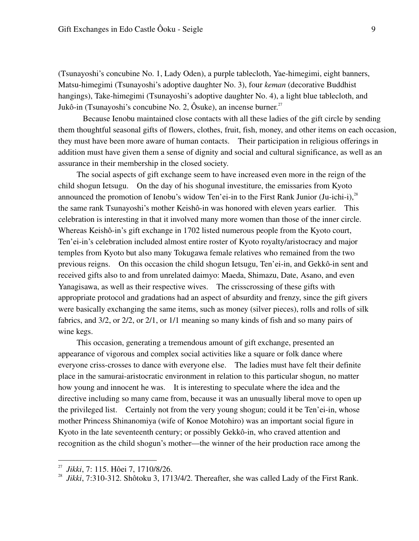(Tsunayoshi's concubine No. 1, Lady Oden), a purple tablecloth, Yae-himegimi, eight banners, Matsu-himegimi (Tsunayoshi's adoptive daughter No. 3), four *keman* (decorative Buddhist hangings), Take-himegimi (Tsunayoshi's adoptive daughter No. 4), a light blue tablecloth, and Jukô-in (Tsunayoshi's concubine No. 2, Ôsuke), an incense burner.<sup>27</sup>

Because Ienobu maintained close contacts with all these ladies of the gift circle by sending them thoughtful seasonal gifts of flowers, clothes, fruit, fish, money, and other items on each occasion, they must have been more aware of human contacts. Their participation in religious offerings in addition must have given them a sense of dignity and social and cultural significance, as well as an assurance in their membership in the closed society.

 The social aspects of gift exchange seem to have increased even more in the reign of the child shogun Ietsugu. On the day of his shogunal investiture, the emissaries from Kyoto announced the promotion of Ienobu's widow Ten'ei-in to the First Rank Junior (Ju-ichi-i),  $^{28}$ the same rank Tsunayoshi's mother Keishô-in was honored with eleven years earlier. This celebration is interesting in that it involved many more women than those of the inner circle. Whereas Keishô-in's gift exchange in 1702 listed numerous people from the Kyoto court, Ten'ei-in's celebration included almost entire roster of Kyoto royalty/aristocracy and major temples from Kyoto but also many Tokugawa female relatives who remained from the two previous reigns. On this occasion the child shogun Ietsugu, Ten'ei-in, and Gekkô-in sent and received gifts also to and from unrelated daimyo: Maeda, Shimazu, Date, Asano, and even Yanagisawa, as well as their respective wives. The crisscrossing of these gifts with appropriate protocol and gradations had an aspect of absurdity and frenzy, since the gift givers were basically exchanging the same items, such as money (silver pieces), rolls and rolls of silk fabrics, and 3/2, or 2/2, or 2/1, or 1/1 meaning so many kinds of fish and so many pairs of wine kegs.

 This occasion, generating a tremendous amount of gift exchange, presented an appearance of vigorous and complex social activities like a square or folk dance where everyone criss-crosses to dance with everyone else. The ladies must have felt their definite place in the samurai-aristocratic environment in relation to this particular shogun, no matter how young and innocent he was. It is interesting to speculate where the idea and the directive including so many came from, because it was an unusually liberal move to open up the privileged list. Certainly not from the very young shogun; could it be Ten'ei-in, whose mother Princess Shinanomiya (wife of Konoe Motohiro) was an important social figure in Kyoto in the late seventeenth century; or possibly Gekkô-in, who craved attention and recognition as the child shogun's mother—the winner of the heir production race among the

<sup>27</sup> *Jikki*, 7: 115. Hôei 7, 1710/8/26.

*Jikki*, 7:310-312. Shôtoku 3, 1713/4/2. Thereafter, she was called Lady of the First Rank.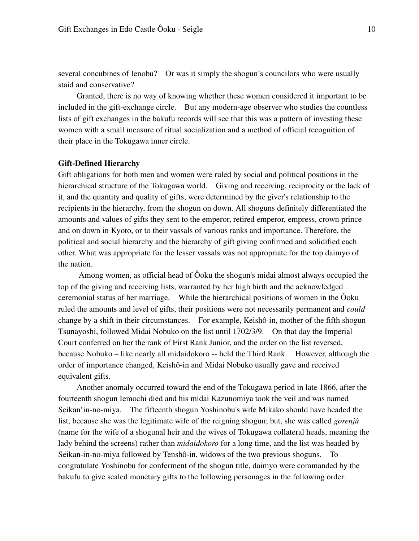several concubines of Ienobu? Or was it simply the shogun's councilors who were usually staid and conservative?

 Granted, there is no way of knowing whether these women considered it important to be included in the gift-exchange circle. But any modern-age observer who studies the countless lists of gift exchanges in the bakufu records will see that this was a pattern of investing these women with a small measure of ritual socialization and a method of official recognition of their place in the Tokugawa inner circle.

#### **Gift-Defined Hierarchy**

Gift obligations for both men and women were ruled by social and political positions in the hierarchical structure of the Tokugawa world. Giving and receiving, reciprocity or the lack of it, and the quantity and quality of gifts, were determined by the giver's relationship to the recipients in the hierarchy, from the shogun on down. All shoguns definitely differentiated the amounts and values of gifts they sent to the emperor, retired emperor, empress, crown prince and on down in Kyoto, or to their vassals of various ranks and importance. Therefore, the political and social hierarchy and the hierarchy of gift giving confirmed and solidified each other. What was appropriate for the lesser vassals was not appropriate for the top daimyo of the nation.

 Among women, as official head of Ôoku the shogun's midai almost always occupied the top of the giving and receiving lists, warranted by her high birth and the acknowledged ceremonial status of her marriage. While the hierarchical positions of women in the Ôoku ruled the amounts and level of gifts, their positions were not necessarily permanent and *could* change by a shift in their circumstances. For example, Keishô-in, mother of the fifth shogun Tsunayoshi, followed Midai Nobuko on the list until 1702/3/9. On that day the Imperial Court conferred on her the rank of First Rank Junior, and the order on the list reversed, because Nobuko – like nearly all midaidokoro -- held the Third Rank. However, although the order of importance changed, Keishô-in and Midai Nobuko usually gave and received equivalent gifts.

 Another anomaly occurred toward the end of the Tokugawa period in late 1866, after the fourteenth shogun Iemochi died and his midai Kazunomiya took the veil and was named Seikan'in-no-miya. The fifteenth shogun Yoshinobu's wife Mikako should have headed the list, because she was the legitimate wife of the reigning shogun; but, she was called *gorenjû* (name for the wife of a shogunal heir and the wives of Tokugawa collateral heads, meaning the lady behind the screens) rather than *midaidokoro* for a long time, and the list was headed by Seikan-in-no-miya followed by Tenshô-in, widows of the two previous shoguns. To congratulate Yoshinobu for conferment of the shogun title, daimyo were commanded by the bakufu to give scaled monetary gifts to the following personages in the following order: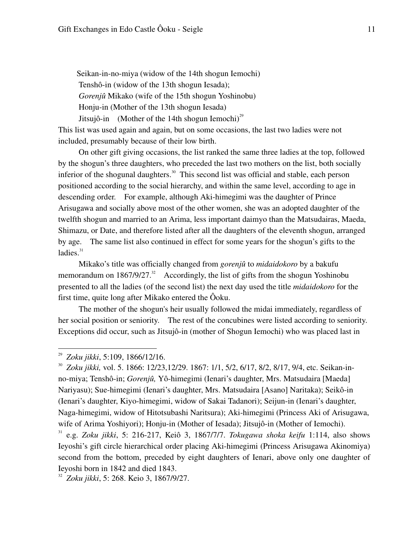Seikan-in-no-miya (widow of the 14th shogun Iemochi) Tenshô-in (widow of the 13th shogun Iesada); *Gorenjû* Mikako (wife of the 15th shogun Yoshinobu) Honju-in (Mother of the 13th shogun Iesada) Jitsujô-in (Mother of the 14th shogun Iemochi)<sup>29</sup>

This list was used again and again, but on some occasions, the last two ladies were not included, presumably because of their low birth.

 On other gift giving occasions, the list ranked the same three ladies at the top, followed by the shogun's three daughters, who preceded the last two mothers on the list, both socially inferior of the shogunal daughters.<sup>30</sup> This second list was official and stable, each person positioned according to the social hierarchy, and within the same level, according to age in descending order. For example, although Aki-himegimi was the daughter of Prince Arisugawa and socially above most of the other women, she was an adopted daughter of the twelfth shogun and married to an Arima, less important daimyo than the Matsudairas, Maeda, Shimazu, or Date, and therefore listed after all the daughters of the eleventh shogun, arranged by age. The same list also continued in effect for some years for the shogun's gifts to the ladies. $31$ 

 Mikako's title was officially changed from *gorenjû* to *midaidokoro* by a bakufu memorandum on  $1867/9/27$ <sup>32</sup> Accordingly, the list of gifts from the shogun Yoshinobu presented to all the ladies (of the second list) the next day used the title *midaidokoro* for the first time, quite long after Mikako entered the Ôoku.

 The mother of the shogun's heir usually followed the midai immediately, regardless of her social position or seniority. The rest of the concubines were listed according to seniority. Exceptions did occur, such as Jitsujô-in (mother of Shogun Iemochi) who was placed last in

-

<sup>32</sup> *Zoku jikki*, 5: 268. Keio 3, 1867/9/27.

<sup>29</sup> *Zoku jikki*, 5:109, 1866/12/16.

<sup>30</sup> *Zoku jikki,* vol. 5. 1866: 12/23,12/29. 1867: 1/1, 5/2, 6/17, 8/2, 8/17, 9/4, etc. Seikan-inno-miya; Tenshô-in; *Gorenjû,* Yô-himegimi (Ienari's daughter, Mrs. Matsudaira [Maeda] Nariyasu); Sue-himegimi (Ienari's daughter, Mrs. Matsudaira [Asano] Naritaka); Seikô-in (Ienari's daughter, Kiyo-himegimi, widow of Sakai Tadanori); Seijun-in (Ienari's daughter, Naga-himegimi, widow of Hitotsubashi Naritsura); Aki-himegimi (Princess Aki of Arisugawa, wife of Arima Yoshiyori); Honju-in (Mother of Iesada); Jitsujô-in (Mother of Iemochi).

<sup>31</sup> e.g. *Zoku jikki*, 5: 216-217, Keiô 3, 1867/7/7. *Tokugawa shoka keifu* 1:114, also shows Ieyoshi's gift circle hierarchical order placing Aki-himegimi (Princess Arisugawa Akinomiya) second from the bottom, preceded by eight daughters of Ienari, above only one daughter of Ieyoshi born in 1842 and died 1843.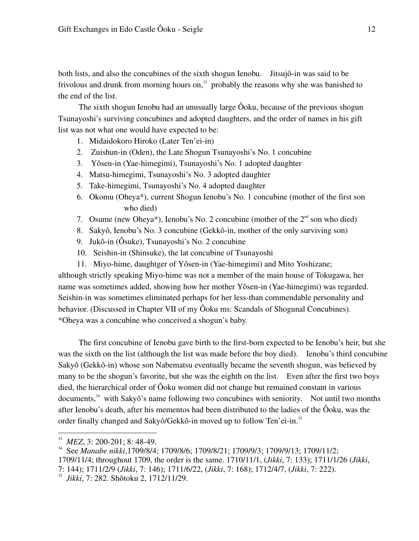both lists, and also the concubines of the sixth shogun Ienobu. Jitsujô-in was said to be frivolous and drunk from morning hours on, $33$  probably the reasons why she was banished to the end of the list.

 The sixth shogun Ienobu had an unusually large Ôoku, because of the previous shogun Tsunayoshi's surviving concubines and adopted daughters, and the order of names in his gift list was not what one would have expected to be:

- 1. Midaidokoro Hiroko (Later Ten'ei-in)
- 2. Zuishun-in (Oden), the Late Shogun Tsunayoshi's No. 1 concubine
- 3. Yôsen-in (Yae-himegimi), Tsunayoshi's No. 1 adopted daughter
- 4. Matsu-himegimi, Tsunayoshi's No. 3 adopted daughter
- 5. Take-himegimi, Tsunayoshi's No. 4 adopted daughter
- 6. Okomu (Oheya\*), current Shogun Ienobu's No. 1 concubine (mother of the first son who died)
- 7. Osume (new Oheya\*), Ienobu's No. 2 concubine (mother of the  $2<sup>nd</sup>$  son who died)
- 8. Sakyô, Ienobu's No. 3 concubine (Gekkô-in, mother of the only surviving son)
- 9. Jukô-in (Ôsuke), Tsunayoshi's No. 2 concubine
- 10. Seishin-in (Shinsuke), the lat concubine of Tsunayoshi
- 11. Miyo-hime, daughtger of Yôsen-in (Yae-himegimi) and Mito Yoshizane;

although strictly speaking Miyo-hime was not a member of the main house of Tokugawa, her name was sometimes added, showing how her mother Yôsen-in (Yae-himegimi) was regarded. Seishin-in was sometimes eliminated perhaps for her less-than commendable personality and behavior. (Discussed in Chapter VII of my Ôoku ms: Scandals of Shogunal Concubines). \*Oheya was a concubine who conceived a shogun's baby.

The first concubine of Ienobu gave birth to the first-born expected to be Ienobu's heir, but she was the sixth on the list (although the list was made before the boy died). Ienobu's third concubine Sakyô (Gekkô-in) whose son Nabematsu eventually became the seventh shogun, was believed by many to be the shogun's favorite, but she was the eighth on the list. Even after the first two boys died, the hierarchical order of Ôoku women did not change but remained constant in various documents, $34$  with Sakyô's name following two concubines with seniority. Not until two months after Ienobu's death, after his mementos had been distributed to the ladies of the Ôoku, was the order finally changed and Sakyô/Gekkô-in moved up to follow Ten'ei-in.<sup>35</sup>

<sup>33</sup> *MEZ*, 3: 200-201; 8: 48-49.

<sup>34</sup> See *Manabe nikki*,1709/8/4; 1709/8/6; 1709/8/21; 1709/9/3; 1709/9/13; 1709/11/2; 1709/11/4; throughout 1709, the order is the same. 1710/11/1, (*Jikki*, 7: 133); 1711/1/26 (*Jikki*,

<sup>7: 144); 1711/2/9 (</sup>*Jikki*, 7: 146); 1711/6/22, (*Jikki*, 7: 168); 1712/4/7, (*Jikki*, 7: 222).

<sup>35</sup> *Jikki*, 7: 282. Shôtoku 2, 1712/11/29.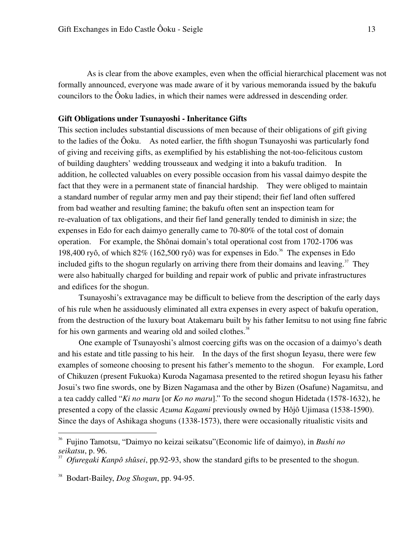As is clear from the above examples, even when the official hierarchical placement was not formally announced, everyone was made aware of it by various memoranda issued by the bakufu councilors to the Ôoku ladies, in which their names were addressed in descending order.

#### **Gift Obligations under Tsunayoshi - Inheritance Gifts**

This section includes substantial discussions of men because of their obligations of gift giving to the ladies of the Ôoku. As noted earlier, the fifth shogun Tsunayoshi was particularly fond of giving and receiving gifts, as exemplified by his establishing the not-too-felicitous custom of building daughters' wedding trousseaux and wedging it into a bakufu tradition. In addition, he collected valuables on every possible occasion from his vassal daimyo despite the fact that they were in a permanent state of financial hardship. They were obliged to maintain a standard number of regular army men and pay their stipend; their fief land often suffered from bad weather and resulting famine; the bakufu often sent an inspection team for re-evaluation of tax obligations, and their fief land generally tended to diminish in size; the expenses in Edo for each daimyo generally came to 70-80% of the total cost of domain operation. For example, the Shônai domain's total operational cost from 1702-1706 was 198,400 ryô, of which  $82\%$  (162,500 ryô) was for expenses in Edo.<sup>36</sup> The expenses in Edo included gifts to the shogun regularly on arriving there from their domains and leaving.<sup>37</sup> They were also habitually charged for building and repair work of public and private infrastructures and edifices for the shogun.

 Tsunayoshi's extravagance may be difficult to believe from the description of the early days of his rule when he assiduously eliminated all extra expenses in every aspect of bakufu operation, from the destruction of the luxury boat Atakemaru built by his father Iemitsu to not using fine fabric for his own garments and wearing old and soiled clothes.<sup>38</sup>

 One example of Tsunayoshi's almost coercing gifts was on the occasion of a daimyo's death and his estate and title passing to his heir. In the days of the first shogun Ieyasu, there were few examples of someone choosing to present his father's memento to the shogun. For example, Lord of Chikuzen (present Fukuoka) Kuroda Nagamasa presented to the retired shogun Ieyasu his father Josui's two fine swords, one by Bizen Nagamasa and the other by Bizen (Osafune) Nagamitsu, and a tea caddy called "*Ki no maru* [or *Ko no maru*]." To the second shogun Hidetada (1578-1632), he presented a copy of the classic *Azuma Kagami* previously owned by Hôjô Ujimasa (1538-1590). Since the days of Ashikaga shoguns (1338-1573), there were occasionally ritualistic visits and

<sup>36</sup> Fujino Tamotsu, "Daimyo no keizai seikatsu"(Economic life of daimyo), in *Bushi no seikatsu*, p. 96.

<sup>37</sup> *Ofuregaki Kanpô shûsei*, pp.92-93, show the standard gifts to be presented to the shogun.

<sup>38</sup> Bodart-Bailey, *Dog Shogun*, pp. 94-95.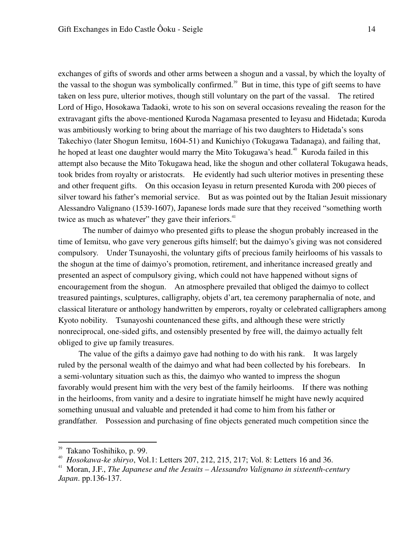exchanges of gifts of swords and other arms between a shogun and a vassal, by which the loyalty of the vassal to the shogun was symbolically confirmed.<sup>39</sup> But in time, this type of gift seems to have taken on less pure, ulterior motives, though still voluntary on the part of the vassal. The retired Lord of Higo, Hosokawa Tadaoki, wrote to his son on several occasions revealing the reason for the extravagant gifts the above-mentioned Kuroda Nagamasa presented to Ieyasu and Hidetada; Kuroda was ambitiously working to bring about the marriage of his two daughters to Hidetada's sons Takechiyo (later Shogun Iemitsu, 1604-51) and Kunichiyo (Tokugawa Tadanaga), and failing that, he hoped at least one daughter would marry the Mito Tokugawa's head.<sup>40</sup> Kuroda failed in this attempt also because the Mito Tokugawa head, like the shogun and other collateral Tokugawa heads, took brides from royalty or aristocrats. He evidently had such ulterior motives in presenting these and other frequent gifts. On this occasion Ieyasu in return presented Kuroda with 200 pieces of silver toward his father's memorial service. But as was pointed out by the Italian Jesuit missionary Alessandro Valignano (1539-1607), Japanese lords made sure that they received "something worth twice as much as whatever" they gave their inferiors. $41$ 

 The number of daimyo who presented gifts to please the shogun probably increased in the time of Iemitsu, who gave very generous gifts himself; but the daimyo's giving was not considered compulsory. Under Tsunayoshi, the voluntary gifts of precious family heirlooms of his vassals to the shogun at the time of daimyo's promotion, retirement, and inheritance increased greatly and presented an aspect of compulsory giving, which could not have happened without signs of encouragement from the shogun. An atmosphere prevailed that obliged the daimyo to collect treasured paintings, sculptures, calligraphy, objets d'art, tea ceremony paraphernalia of note, and classical literature or anthology handwritten by emperors, royalty or celebrated calligraphers among Kyoto nobility. Tsunayoshi countenanced these gifts, and although these were strictly nonreciprocal, one-sided gifts, and ostensibly presented by free will, the daimyo actually felt obliged to give up family treasures.

 The value of the gifts a daimyo gave had nothing to do with his rank. It was largely ruled by the personal wealth of the daimyo and what had been collected by his forebears. In a semi-voluntary situation such as this, the daimyo who wanted to impress the shogun favorably would present him with the very best of the family heirlooms. If there was nothing in the heirlooms, from vanity and a desire to ingratiate himself he might have newly acquired something unusual and valuable and pretended it had come to him from his father or grandfather. Possession and purchasing of fine objects generated much competition since the

<sup>39</sup> Takano Toshihiko, p. 99.

<sup>&</sup>lt;sup>40</sup> *Hosokawa-ke shiryo*, Vol.1: Letters 207, 212, 215, 217; Vol. 8: Letters 16 and 36.<br><sup>41</sup> Moran LE *The Japanese and the Jesuits – Alessandro Valignano in sixteenth-center* 

<sup>41</sup> Moran, J.F., *The Japanese and the Jesuits – Alessandro Valignano in sixteenth-century Japan*. pp.136-137.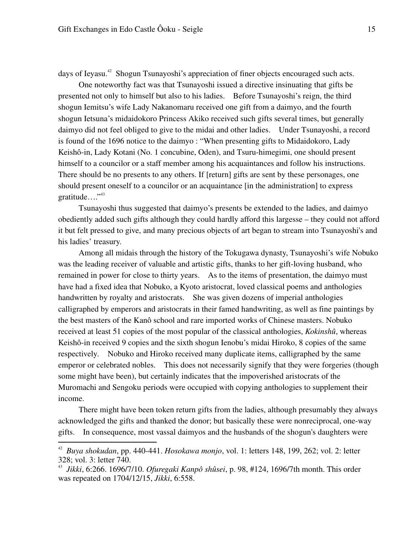days of Ieyasu.<sup>42</sup> Shogun Tsunayoshi's appreciation of finer objects encouraged such acts.

 One noteworthy fact was that Tsunayoshi issued a directive insinuating that gifts be presented not only to himself but also to his ladies. Before Tsunayoshi's reign, the third shogun Iemitsu's wife Lady Nakanomaru received one gift from a daimyo, and the fourth shogun Ietsuna's midaidokoro Princess Akiko received such gifts several times, but generally daimyo did not feel obliged to give to the midai and other ladies. Under Tsunayoshi, a record is found of the 1696 notice to the daimyo : "When presenting gifts to Midaidokoro, Lady Keishô-in, Lady Kotani (No. 1 concubine, Oden), and Tsuru-himegimi, one should present himself to a councilor or a staff member among his acquaintances and follow his instructions. There should be no presents to any others. If [return] gifts are sent by these personages, one should present oneself to a councilor or an acquaintance [in the administration] to express gratitude $\ldots$ ."

Tsunayoshi thus suggested that daimyo's presents be extended to the ladies, and daimyo obediently added such gifts although they could hardly afford this largesse – they could not afford it but felt pressed to give, and many precious objects of art began to stream into Tsunayoshi's and his ladies' treasury.

Among all midais through the history of the Tokugawa dynasty, Tsunayoshi's wife Nobuko was the leading receiver of valuable and artistic gifts, thanks to her gift-loving husband, who remained in power for close to thirty years. As to the items of presentation, the daimyo must have had a fixed idea that Nobuko, a Kyoto aristocrat, loved classical poems and anthologies handwritten by royalty and aristocrats. She was given dozens of imperial anthologies calligraphed by emperors and aristocrats in their famed handwriting, as well as fine paintings by the best masters of the Kanô school and rare imported works of Chinese masters. Nobuko received at least 51 copies of the most popular of the classical anthologies, *Kokinshû*, whereas Keishô-in received 9 copies and the sixth shogun Ienobu's midai Hiroko, 8 copies of the same respectively*.* Nobuko and Hiroko received many duplicate items, calligraphed by the same emperor or celebrated nobles. This does not necessarily signify that they were forgeries (though some might have been), but certainly indicates that the impoverished aristocrats of the Muromachi and Sengoku periods were occupied with copying anthologies to supplement their income.

 There might have been token return gifts from the ladies, although presumably they always acknowledged the gifts and thanked the donor; but basically these were nonreciprocal, one-way gifts. In consequence, most vassal daimyos and the husbands of the shogun's daughters were

<sup>42</sup> *Buya shokudan*, pp. 440-441. *Hosokawa monjo*, vol. 1: letters 148, 199, 262; vol. 2: letter 328; vol. 3: letter 740.

<sup>43</sup> *Jikki*, 6:266. 1696/7/10. *Ofuregaki Kanpô shûsei*, p. 98, #124, 1696/7th month. This order was repeated on 1704/12/15, *Jikki*, 6:558.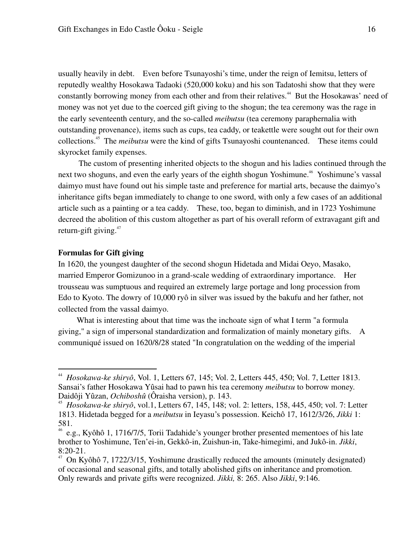usually heavily in debt. Even before Tsunayoshi's time, under the reign of Iemitsu, letters of reputedly wealthy Hosokawa Tadaoki (520,000 koku) and his son Tadatoshi show that they were constantly borrowing money from each other and from their relatives.<sup>44</sup> But the Hosokawas' need of money was not yet due to the coerced gift giving to the shogun; the tea ceremony was the rage in the early seventeenth century, and the so-called *meibutsu* (tea ceremony paraphernalia with outstanding provenance), items such as cups, tea caddy, or teakettle were sought out for their own collections.<sup>45</sup> The *meibutsu* were the kind of gifts Tsunayoshi countenanced. These items could skyrocket family expenses.

 The custom of presenting inherited objects to the shogun and his ladies continued through the next two shoguns, and even the early years of the eighth shogun Yoshimune.<sup>46</sup> Yoshimune's vassal daimyo must have found out his simple taste and preference for martial arts, because the daimyo's inheritance gifts began immediately to change to one sword, with only a few cases of an additional article such as a painting or a tea caddy. These, too, began to diminish, and in 1723 Yoshimune decreed the abolition of this custom altogether as part of his overall reform of extravagant gift and return-gift giving. $47$ 

#### **Formulas for Gift giving**

-

In 1620, the youngest daughter of the second shogun Hidetada and Midai Oeyo, Masako, married Emperor Gomizunoo in a grand-scale wedding of extraordinary importance. Her trousseau was sumptuous and required an extremely large portage and long procession from Edo to Kyoto. The dowry of 10,000 ryô in silver was issued by the bakufu and her father, not collected from the vassal daimyo.

 What is interesting about that time was the inchoate sign of what I term "a formula giving," a sign of impersonal standardization and formalization of mainly monetary gifts. A communiqué issued on 1620/8/28 stated "In congratulation on the wedding of the imperial

<sup>44</sup> *Hosokawa-ke shiryô*, Vol. 1, Letters 67, 145; Vol. 2, Letters 445, 450; Vol. 7, Letter 1813. Sansai's father Hosokawa Yûsai had to pawn his tea ceremony *meibutsu* to borrow money. Daidôji Yûzan, *Ochiboshû* (Ôraisha version), p. 143.

<sup>45</sup> *Hosokawa-ke shiryô*, vol.1, Letters 67, 145, 148; vol. 2: letters, 158, 445, 450; vol. 7: Letter 1813. Hidetada begged for a *meibutsu* in Ieyasu's possession. Keichô 17, 1612/3/26, *Jikki* 1: 581.

<sup>46</sup> e.g., Kyôhô 1, 1716/7/5, Torii Tadahide's younger brother presented mementoes of his late brother to Yoshimune, Ten'ei-in, Gekkô-in, Zuishun-in, Take-himegimi, and Jukô-in. *Jikki*,  $8:20-21$ .

<sup>47</sup> On Kyôhô 7, 1722/3/15, Yoshimune drastically reduced the amounts (minutely designated) of occasional and seasonal gifts, and totally abolished gifts on inheritance and promotion*.*  Only rewards and private gifts were recognized. *Jikki,* 8: 265. Also *Jikki*, 9:146.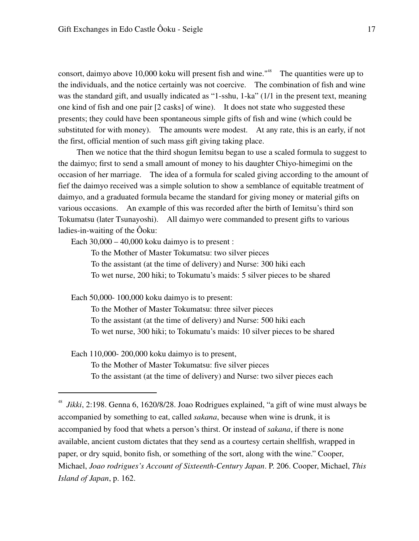consort, daimyo above 10,000 koku will present fish and wine."<sup>48</sup> The quantities were up to the individuals, and the notice certainly was not coercive. The combination of fish and wine was the standard gift, and usually indicated as "1-sshu, 1-ka" (1/1 in the present text, meaning one kind of fish and one pair [2 casks] of wine). It does not state who suggested these presents; they could have been spontaneous simple gifts of fish and wine (which could be substituted for with money). The amounts were modest. At any rate, this is an early, if not the first, official mention of such mass gift giving taking place.

 Then we notice that the third shogun Iemitsu began to use a scaled formula to suggest to the daimyo; first to send a small amount of money to his daughter Chiyo-himegimi on the occasion of her marriage. The idea of a formula for scaled giving according to the amount of fief the daimyo received was a simple solution to show a semblance of equitable treatment of daimyo, and a graduated formula became the standard for giving money or material gifts on various occasions. An example of this was recorded after the birth of Iemitsu's third son Tokumatsu (later Tsunayoshi). All daimyo were commanded to present gifts to various ladies-in-waiting of the Ôoku:

Each  $30,000 - 40,000$  koku daimyo is to present :

 To the Mother of Master Tokumatsu: two silver pieces To the assistant (at the time of delivery) and Nurse: 300 hiki each To wet nurse, 200 hiki; to Tokumatu's maids: 5 silver pieces to be shared

Each 50,000- 100,000 koku daimyo is to present:

-

 To the Mother of Master Tokumatsu: three silver pieces To the assistant (at the time of delivery) and Nurse: 500 hiki each To wet nurse, 300 hiki; to Tokumatu's maids: 10 silver pieces to be shared

 Each 110,000- 200,000 koku daimyo is to present, To the Mother of Master Tokumatsu: five silver pieces To the assistant (at the time of delivery) and Nurse: two silver pieces each

<sup>48</sup> *Jikki*, 2:198. Genna 6, 1620/8/28. Joao Rodrigues explained, "a gift of wine must always be accompanied by something to eat, called *sakana*, because when wine is drunk, it is accompanied by food that whets a person's thirst. Or instead of *sakana*, if there is none available, ancient custom dictates that they send as a courtesy certain shellfish, wrapped in paper, or dry squid, bonito fish, or something of the sort, along with the wine." Cooper, Michael, *Joao rodrigues's Account of Sixteenth-Century Japan*. P. 206. Cooper, Michael, *This Island of Japan*, p. 162.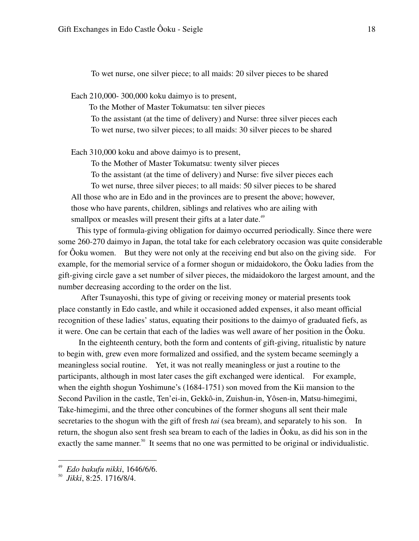To wet nurse, one silver piece; to all maids: 20 silver pieces to be shared

Each 210,000- 300,000 koku daimyo is to present,

 To the Mother of Master Tokumatsu: ten silver pieces To the assistant (at the time of delivery) and Nurse: three silver pieces each To wet nurse, two silver pieces; to all maids: 30 silver pieces to be shared

Each 310,000 koku and above daimyo is to present,

To the Mother of Master Tokumatsu: twenty silver pieces

 To the assistant (at the time of delivery) and Nurse: five silver pieces each To wet nurse, three silver pieces; to all maids: 50 silver pieces to be shared All those who are in Edo and in the provinces are to present the above; however, those who have parents, children, siblings and relatives who are ailing with smallpox or measles will present their gifts at a later date.<sup>49</sup>

This type of formula-giving obligation for daimyo occurred periodically. Since there were some 260-270 daimyo in Japan, the total take for each celebratory occasion was quite considerable for Ôoku women. But they were not only at the receiving end but also on the giving side. For example, for the memorial service of a former shogun or midaidokoro, the Ôoku ladies from the gift-giving circle gave a set number of silver pieces, the midaidokoro the largest amount, and the number decreasing according to the order on the list.

 After Tsunayoshi, this type of giving or receiving money or material presents took place constantly in Edo castle, and while it occasioned added expenses, it also meant official recognition of these ladies' status, equating their positions to the daimyo of graduated fiefs, as it were. One can be certain that each of the ladies was well aware of her position in the Ôoku.

 In the eighteenth century, both the form and contents of gift-giving, ritualistic by nature to begin with, grew even more formalized and ossified, and the system became seemingly a meaningless social routine. Yet, it was not really meaningless or just a routine to the participants, although in most later cases the gift exchanged were identical. For example, when the eighth shogun Yoshimune's (1684-1751) son moved from the Kii mansion to the Second Pavilion in the castle, Ten'ei-in, Gekkô-in, Zuishun-in, Yôsen-in, Matsu-himegimi, Take-himegimi, and the three other concubines of the former shoguns all sent their male secretaries to the shogun with the gift of fresh *tai* (sea bream), and separately to his son. In return, the shogun also sent fresh sea bream to each of the ladies in Ôoku, as did his son in the exactly the same manner.<sup>50</sup> It seems that no one was permitted to be original or individualistic.

<sup>49</sup> *Edo bakufu nikki*, 1646/6/6.

<sup>50</sup> *Jikki*, 8:25. 1716/8/4.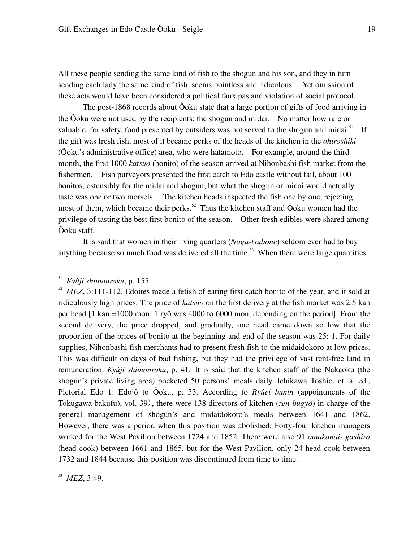All these people sending the same kind of fish to the shogun and his son, and they in turn sending each lady the same kind of fish, seems pointless and ridiculous. Yet omission of these acts would have been considered a political faux pas and violation of social protocol.

The post-1868 records about Ôoku state that a large portion of gifts of food arriving in the Ôoku were not used by the recipients: the shogun and midai. No matter how rare or valuable, for safety, food presented by outsiders was not served to the shogun and midai.<sup>51</sup> If the gift was fresh fish, most of it became perks of the heads of the kitchen in the *ohiroshiki* (Ôoku's administrative office) area, who were hatamoto. For example, around the third month, the first 1000 *katsuo* (bonito) of the season arrived at Nihonbashi fish market from the fishermen. Fish purveyors presented the first catch to Edo castle without fail, about 100 bonitos, ostensibly for the midai and shogun, but what the shogun or midai would actually taste was one or two morsels. The kitchen heads inspected the fish one by one, rejecting most of them, which became their perks.<sup>52</sup> Thus the kitchen staff and  $\hat{O}$ oku women had the privilege of tasting the best first bonito of the season. Other fresh edibles were shared among Ôoku staff.

 It is said that women in their living quarters (*Naga-tsubone*) seldom ever had to buy anything because so much food was delivered all the time.<sup>53</sup> When there were large quantities

<sup>51</sup> *Kyûji shimonroku*, p. 155.

<sup>&</sup>lt;sup>52</sup> *MEZ*, 3:111-112. Edoites made a fetish of eating first catch bonito of the year, and it sold at ridiculously high prices. The price of *katsuo* on the first delivery at the fish market was 2.5 kan per head [1 kan =1000 mon; 1 ryô was 4000 to 6000 mon, depending on the period]. From the second delivery, the price dropped, and gradually, one head came down so low that the proportion of the prices of bonito at the beginning and end of the season was 25: 1. For daily supplies, Nihonbashi fish merchants had to present fresh fish to the midaidokoro at low prices. This was difficult on days of bad fishing, but they had the privilege of vast rent-free land in remuneration. *Kyûji shimonroku*, p. 41. It is said that the kitchen staff of the Nakaoku (the shogun's private living area) pocketed 50 persons' meals daily. Ichikawa Toshio, et. al ed., Pictorial Edo 1: Edojô to Ôoku, p. 53. According to *Ryûei bunin* (appointments of the Tokugawa bakufu), vol. 39), there were 138 directors of kitchen (*zen-bugyô*) in charge of the general management of shogun's and midaidokoro's meals between 1641 and 1862. However, there was a period when this position was abolished. Forty-four kitchen managers worked for the West Pavilion between 1724 and 1852. There were also 91 *omakanai- gashira* (head cook) between 1661 and 1865, but for the West Pavilion, only 24 head cook between 1732 and 1844 because this position was discontinued from time to time.

<sup>53</sup> *MEZ*, 3:49.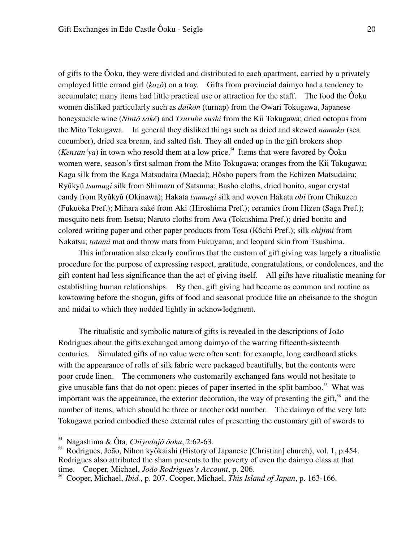of gifts to the Ôoku, they were divided and distributed to each apartment, carried by a privately employed little errand girl (*kozô*) on a tray. Gifts from provincial daimyo had a tendency to accumulate; many items had little practical use or attraction for the staff. The food the Ôoku women disliked particularly such as *daikon* (turnap) from the Owari Tokugawa, Japanese honeysuckle wine (*Nintô saké*) and *Tsurube sushi* from the Kii Tokugawa; dried octopus from the Mito Tokugawa. In general they disliked things such as dried and skewed *namako* (sea cucumber), dried sea bream, and salted fish. They all ended up in the gift brokers shop (*Kensan'ya*) in town who resold them at a low price.<sup>54</sup> Items that were favored by  $\hat{O}$ oku women were, season's first salmon from the Mito Tokugawa; oranges from the Kii Tokugawa; Kaga silk from the Kaga Matsudaira (Maeda); Hôsho papers from the Echizen Matsudaira; Ryûkyû *tsumugi* silk from Shimazu of Satsuma; Basho cloths, dried bonito, sugar crystal candy from Ryûkyû (Okinawa); Hakata *tsumugi* silk and woven Hakata *obi* from Chikuzen (Fukuoka Pref.); Mihara saké from Aki (Hiroshima Pref.); ceramics from Hizen (Saga Pref.); mosquito nets from Isetsu; Naruto cloths from Awa (Tokushima Pref.); dried bonito and colored writing paper and other paper products from Tosa (Kôchi Pref.); silk *chijimi* from Nakatsu; *tatami* mat and throw mats from Fukuyama; and leopard skin from Tsushima.

 This information also clearly confirms that the custom of gift giving was largely a ritualistic procedure for the purpose of expressing respect, gratitude, congratulations, or condolences, and the gift content had less significance than the act of giving itself. All gifts have ritualistic meaning for establishing human relationships. By then, gift giving had become as common and routine as kowtowing before the shogun, gifts of food and seasonal produce like an obeisance to the shogun and midai to which they nodded lightly in acknowledgment.

 The ritualistic and symbolic nature of gifts is revealed in the descriptions of João Rodrigues about the gifts exchanged among daimyo of the warring fifteenth-sixteenth centuries. Simulated gifts of no value were often sent: for example, long cardboard sticks with the appearance of rolls of silk fabric were packaged beautifully, but the contents were poor crude linen. The commoners who customarily exchanged fans would not hesitate to give unusable fans that do not open: pieces of paper inserted in the split bamboo.<sup>55</sup> What was important was the appearance, the exterior decoration, the way of presenting the gift,<sup>56</sup> and the number of items, which should be three or another odd number. The daimyo of the very late Tokugawa period embodied these external rules of presenting the customary gift of swords to

<sup>54</sup> Nagashima & Ôta*, Chiyodajô ôoku*, 2:62-63.

<sup>&</sup>lt;sup>55</sup> Rodrigues, João, Nihon kyôkaishi (History of Japanese [Christian] church), vol. 1, p.454. Rodrigues also attributed the sham presents to the poverty of even the daimyo class at that time. Cooper, Michael, *João Rodrigues's Account*, p. 206.

<sup>56</sup> Cooper, Michael, *Ibid.*, p. 207. Cooper, Michael, *This Island of Japan*, p. 163-166.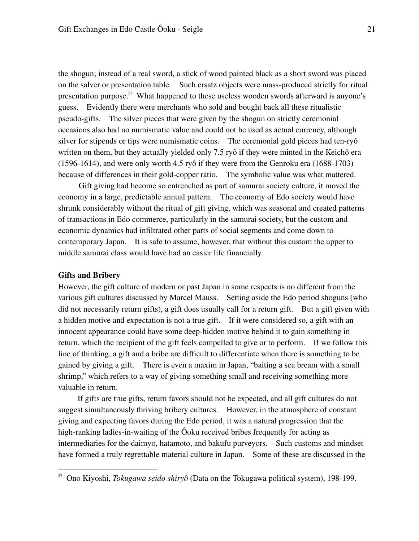the shogun; instead of a real sword, a stick of wood painted black as a short sword was placed on the salver or presentation table. Such ersatz objects were mass-produced strictly for ritual presentation purpose.<sup>57</sup> What happened to these useless wooden swords afterward is anyone's guess. Evidently there were merchants who sold and bought back all these ritualistic pseudo-gifts. The silver pieces that were given by the shogun on strictly ceremonial occasions also had no numismatic value and could not be used as actual currency, although silver for stipends or tips were numismatic coins. The ceremonial gold pieces had ten-ryô written on them, but they actually yielded only 7.5 ryô if they were minted in the Keichô era (1596-1614), and were only worth 4.5 ryô if they were from the Genroku era (1688-1703) because of differences in their gold-copper ratio. The symbolic value was what mattered.

 Gift giving had become so entrenched as part of samurai society culture, it moved the economy in a large, predictable annual pattern. The economy of Edo society would have shrunk considerably without the ritual of gift giving, which was seasonal and created patterns of transactions in Edo commerce, particularly in the samurai society, but the custom and economic dynamics had infiltrated other parts of social segments and come down to contemporary Japan. It is safe to assume, however, that without this custom the upper to middle samurai class would have had an easier life financially.

#### **Gifts and Bribery**

-

However, the gift culture of modern or past Japan in some respects is no different from the various gift cultures discussed by Marcel Mauss. Setting aside the Edo period shoguns (who did not necessarily return gifts), a gift does usually call for a return gift. But a gift given with a hidden motive and expectation is not a true gift. If it were considered so, a gift with an innocent appearance could have some deep-hidden motive behind it to gain something in return, which the recipient of the gift feels compelled to give or to perform. If we follow this line of thinking, a gift and a bribe are difficult to differentiate when there is something to be gained by giving a gift. There is even a maxim in Japan, "baiting a sea bream with a small shrimp," which refers to a way of giving something small and receiving something more valuable in return.

 If gifts are true gifts, return favors should not be expected, and all gift cultures do not suggest simultaneously thriving bribery cultures. However, in the atmosphere of constant giving and expecting favors during the Edo period, it was a natural progression that the high-ranking ladies-in-waiting of the Ôoku received bribes frequently for acting as intermediaries for the daimyo, hatamoto, and bakufu purveyors. Such customs and mindset have formed a truly regrettable material culture in Japan. Some of these are discussed in the

<sup>57</sup> Ono Kiyoshi, *Tokugawa seido shiryô* (Data on the Tokugawa political system), 198-199.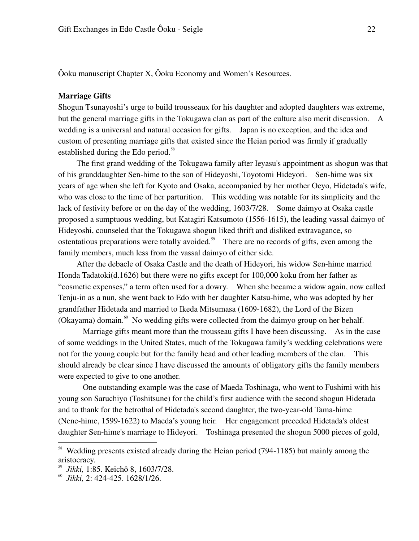Ôoku manuscript Chapter X, Ôoku Economy and Women's Resources.

#### **Marriage Gifts**

Shogun Tsunayoshi's urge to build trousseaux for his daughter and adopted daughters was extreme, but the general marriage gifts in the Tokugawa clan as part of the culture also merit discussion. A wedding is a universal and natural occasion for gifts. Japan is no exception, and the idea and custom of presenting marriage gifts that existed since the Heian period was firmly if gradually established during the Edo period.<sup>58</sup>

 The first grand wedding of the Tokugawa family after Ieyasu's appointment as shogun was that of his granddaughter Sen-hime to the son of Hideyoshi, Toyotomi Hideyori. Sen-hime was six years of age when she left for Kyoto and Osaka, accompanied by her mother Oeyo, Hidetada's wife, who was close to the time of her parturition. This wedding was notable for its simplicity and the lack of festivity before or on the day of the wedding, 1603/7/28. Some daimyo at Osaka castle proposed a sumptuous wedding, but Katagiri Katsumoto (1556-1615), the leading vassal daimyo of Hideyoshi, counseled that the Tokugawa shogun liked thrift and disliked extravagance, so ostentatious preparations were totally avoided.<sup>59</sup> There are no records of gifts, even among the family members, much less from the vassal daimyo of either side.

 After the debacle of Osaka Castle and the death of Hideyori, his widow Sen-hime married Honda Tadatoki(d.1626) but there were no gifts except for 100,000 koku from her father as "cosmetic expenses," a term often used for a dowry. When she became a widow again, now called Tenju-in as a nun, she went back to Edo with her daughter Katsu-hime, who was adopted by her grandfather Hidetada and married to Ikeda Mitsumasa (1609-1682), the Lord of the Bizen (Okayama) domain.<sup>60</sup> No wedding gifts were collected from the daimyo group on her behalf.

 Marriage gifts meant more than the trousseau gifts I have been discussing. As in the case of some weddings in the United States, much of the Tokugawa family's wedding celebrations were not for the young couple but for the family head and other leading members of the clan. This should already be clear since I have discussed the amounts of obligatory gifts the family members were expected to give to one another.

 One outstanding example was the case of Maeda Toshinaga, who went to Fushimi with his young son Saruchiyo (Toshitsune) for the child's first audience with the second shogun Hidetada and to thank for the betrothal of Hidetada's second daughter, the two-year-old Tama-hime (Nene-hime, 1599-1622) to Maeda's young heir. Her engagement preceded Hidetada's oldest daughter Sen-hime's marriage to Hideyori. Toshinaga presented the shogun 5000 pieces of gold,

<sup>&</sup>lt;sup>58</sup> Wedding presents existed already during the Heian period (794-1185) but mainly among the aristocracy.

<sup>59</sup> *Jikki,* 1:85. Keichô 8, 1603/7/28.

<sup>60</sup> *Jikki,* 2: 424-425. 1628/1/26.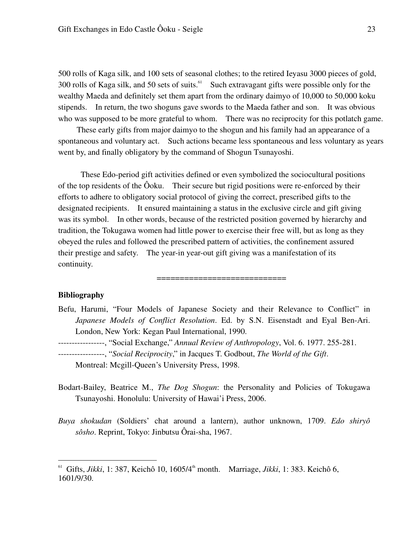500 rolls of Kaga silk, and 100 sets of seasonal clothes; to the retired Ieyasu 3000 pieces of gold, 300 rolls of Kaga silk, and 50 sets of suits. $61$  Such extravagant gifts were possible only for the wealthy Maeda and definitely set them apart from the ordinary daimyo of 10,000 to 50,000 koku stipends. In return, the two shoguns gave swords to the Maeda father and son. It was obvious who was supposed to be more grateful to whom. There was no reciprocity for this potlatch game.

 These early gifts from major daimyo to the shogun and his family had an appearance of a spontaneous and voluntary act. Such actions became less spontaneous and less voluntary as years went by, and finally obligatory by the command of Shogun Tsunayoshi.

 These Edo-period gift activities defined or even symbolized the sociocultural positions of the top residents of the Ôoku. Their secure but rigid positions were re-enforced by their efforts to adhere to obligatory social protocol of giving the correct, prescribed gifts to the designated recipients. It ensured maintaining a status in the exclusive circle and gift giving was its symbol. In other words, because of the restricted position governed by hierarchy and tradition, the Tokugawa women had little power to exercise their free will, but as long as they obeyed the rules and followed the prescribed pattern of activities, the confinement assured their prestige and safety. The year-in year-out gift giving was a manifestation of its continuity.

#### **Bibliography**

<u>.</u>

Befu, Harumi, "Four Models of Japanese Society and their Relevance to Conflict" in *Japanese Models of Conflict Resolution*. Ed. by S.N. Eisenstadt and Eyal Ben-Ari. London, New York: Kegan Paul International, 1990.

==========================

-----------------, "Social Exchange," *Annual Review of Anthropology*, Vol. 6. 1977. 255-281.

-----------------, "*Social Reciprocity*," in Jacques T. Godbout, *The World of the Gift*.

Montreal: Mcgill-Queen's University Press, 1998.

- Bodart-Bailey, Beatrice M., *The Dog Shogun*: the Personality and Policies of Tokugawa Tsunayoshi. Honolulu: University of Hawai'i Press, 2006.
- *Buya shokudan* (Soldiers' chat around a lantern), author unknown, 1709. *Edo shiryô sôsho*. Reprint, Tokyo: Jinbutsu Ôrai-sha, 1967.

<sup>&</sup>lt;sup>61</sup> Gifts, *Jikki*, 1: 387, Keichô 10, 1605/4<sup>th</sup> month. Marriage, *Jikki*, 1: 383. Keichô 6, 1601/9/30.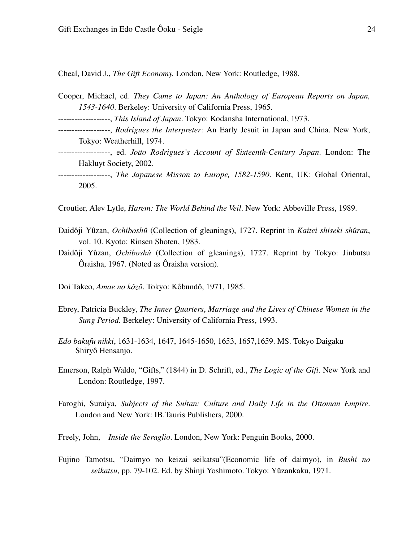Cheal, David J., *The Gift Economy.* London, New York: Routledge, 1988.

- Cooper, Michael, ed. *They Came to Japan: An Anthology of European Reports on Japan, 1543-1640*. Berkeley: University of California Press, 1965.
- -------------------, *This Island of Japan*. Tokyo: Kodansha International, 1973.
- -------------------, *Rodrigues the Interpreter*: An Early Jesuit in Japan and China. New York, Tokyo: Weatherhill, 1974.
- -------------------, ed. *Joäo Rodrigues's Account of Sixteenth-Century Japan*. London: The Hakluyt Society, 2002.
- -------------------, *The Japanese Misson to Europe, 1582-1590*. Kent, UK: Global Oriental, 2005.

Croutier, Alev Lytle, *Harem: The World Behind the Veil*. New York: Abbeville Press, 1989.

- Daidôji Yûzan, *Ochiboshû* (Collection of gleanings), 1727. Reprint in *Kaitei shiseki shûran*, vol. 10. Kyoto: Rinsen Shoten, 1983.
- Daidôji Yûzan, *Ochiboshû* (Collection of gleanings), 1727. Reprint by Tokyo: Jinbutsu Ôraisha, 1967. (Noted as Ôraisha version).
- Doi Takeo, *Amae no kôzô*. Tokyo: Kôbundô, 1971, 1985.
- Ebrey, Patricia Buckley, *The Inner Quarters*, *Marriage and the Lives of Chinese Women in the Sung Period.* Berkeley: University of California Press, 1993.
- *Edo bakufu nikki*, 1631-1634, 1647, 1645-1650, 1653, 1657,1659. MS. Tokyo Daigaku Shiryô Hensanjo.
- Emerson, Ralph Waldo, "Gifts," (1844) in D. Schrift, ed., *The Logic of the Gift*. New York and London: Routledge, 1997.
- Faroghi, Suraiya, *Subjects of the Sultan: Culture and Daily Life in the Ottoman Empire*. London and New York: IB.Tauris Publishers, 2000.
- Freely, John, *Inside the Seraglio*. London, New York: Penguin Books, 2000.
- Fujino Tamotsu, "Daimyo no keizai seikatsu"(Economic life of daimyo), in *Bushi no seikatsu*, pp. 79-102. Ed. by Shinji Yoshimoto. Tokyo: Yûzankaku, 1971.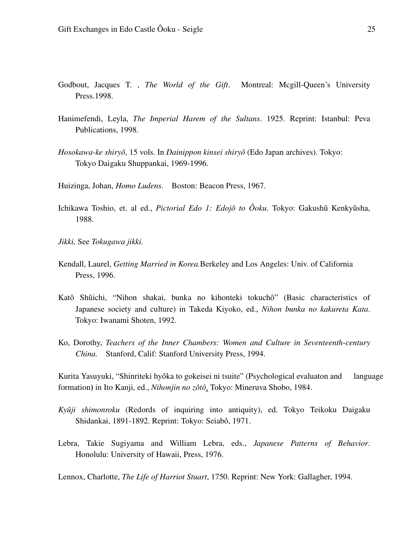- Godbout, Jacques T. , *The World of the Gift*. Montreal: Mcgill-Queen's University Press.1998.
- Hanimefendi, Leyla, *The Imperial Harem of the Sultans*. 1925. Reprint: Istanbul: Peva Publications, 1998.
- *Hosokawa-ke shiryô*, 15 vols. In *Dainippon kinsei shiryô* (Edo Japan archives). Tokyo: Tokyo Daigaku Shuppankai, 1969-1996.
- Huizinga, Johan, *Homo Ludens*. Boston: Beacon Press, 1967.
- Ichikawa Toshio, et. al ed., *Pictorial Edo 1: Edojô to Ôoku*. Tokyo: Gakushû Kenkyûsha, 1988.
- *Jikki,* See *Tokugawa jikki.*
- Kendall, Laurel, *Getting Married in Korea.*Berkeley and Los Angeles: Univ. of California Press, 1996.
- Katô Shûichi, "Nihon shakai, bunka no kihonteki tokuchô" (Basic characteristics of Japanese society and culture) in Takeda Kiyoko, ed., *Nihon bunka no kakureta Kata*. Tokyo: Iwanami Shoten, 1992.
- Ko, Dorothy, *Teachers of the Inner Chambers: Women and Culture in Seventeenth-century China.* Stanford, Calif: Stanford University Press, 1994.

Kurita Yasuyuki, "Shinriteki hyôka to gokeisei ni tsuite" (Psychological evaluaton and language formation**)** in Ito Kanji, ed., *Nihonjin no zôtô*. Tokyo: Mineruva Shobo, 1984.

- *Kyûji shimonroku* (Redords of inquiring into antiquity), ed. Tokyo Teikoku Daigaku Shidankai, 1891-1892. Reprint: Tokyo: Seiabô, 1971.
- Lebra, Takie Sugiyama and William Lebra, eds., *Japanese Patterns of Behavior*. Honolulu: University of Hawaii, Press, 1976.

Lennox, Charlotte, *The Life of Harriot Stuart*, 1750. Reprint: New York: Gallagher, 1994.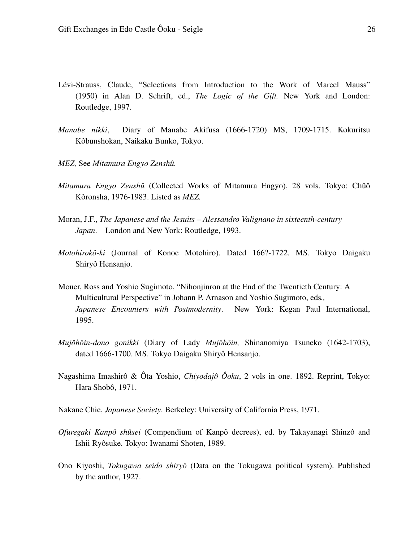- Lévi-Strauss, Claude, "Selections from Introduction to the Work of Marcel Mauss" (1950) in Alan D. Schrift, ed., *The Logic of the Gift.* New York and London: Routledge, 1997.
- *Manabe nikki*, Diary of Manabe Akifusa (1666-1720) MS, 1709-1715. Kokuritsu Kôbunshokan, Naikaku Bunko, Tokyo.
- *MEZ,* See *Mitamura Engyo Zenshû.*
- *Mitamura Engyo Zenshû* (Collected Works of Mitamura Engyo), 28 vols. Tokyo: Chûô Kôronsha, 1976-1983. Listed as *MEZ.*
- Moran, J.F., *The Japanese and the Jesuits Alessandro Valignano in sixteenth-century Japan*. London and New York: Routledge, 1993.
- *Motohirokô-ki* (Journal of Konoe Motohiro). Dated 166?-1722. MS. Tokyo Daigaku Shiryô Hensanjo.
- Mouer, Ross and Yoshio Sugimoto, "Nihonjinron at the End of the Twentieth Century: A Multicultural Perspective" in Johann P. Arnason and Yoshio Sugimoto, eds*., Japanese Encounters with Postmodernity*. New York: Kegan Paul International, 1995.
- *Mujôhôin-dono gonikki* (Diary of Lady *Mujôhôin,* Shinanomiya Tsuneko (1642-1703), dated 1666-1700. MS. Tokyo Daigaku Shiryô Hensanjo.
- Nagashima Imashirô & Ôta Yoshio, *Chiyodajô Ôoku*, 2 vols in one. 1892. Reprint, Tokyo: Hara Shobô, 1971.
- Nakane Chie, *Japanese Society*. Berkeley: University of California Press, 1971.
- *Ofuregaki Kanpô shûsei* (Compendium of Kanpô decrees), ed. by Takayanagi Shinzô and Ishii Ryôsuke. Tokyo: Iwanami Shoten, 1989.
- Ono Kiyoshi, *Tokugawa seido shiryô* (Data on the Tokugawa political system). Published by the author, 1927.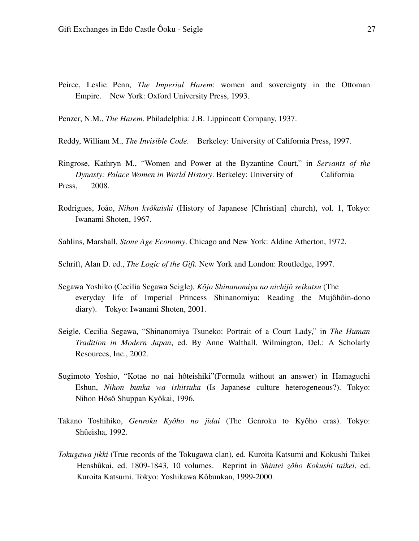- Peirce, Leslie Penn, *The Imperial Harem*: women and sovereignty in the Ottoman Empire. New York: Oxford University Press, 1993.
- Penzer, N.M., *The Harem*. Philadelphia: J.B. Lippincott Company, 1937.
- Reddy, William M., *The Invisible Code*. Berkeley: University of California Press, 1997.
- Ringrose, Kathryn M., "Women and Power at the Byzantine Court," in *Servants of the Dynasty: Palace Women in World History*. Berkeley: University of California Press. 2008.
- Rodrigues, João, *Nihon kyôkaishi* (History of Japanese [Christian] church), vol. 1, Tokyo: Iwanami Shoten, 1967.
- Sahlins, Marshall, *Stone Age Economy*. Chicago and New York: Aldine Atherton, 1972.
- Schrift, Alan D. ed., *The Logic of the Gift.* New York and London: Routledge, 1997.
- Segawa Yoshiko (Cecilia Segawa Seigle), *Kôjo Shinanomiya no nichijô seikatsu* (The everyday life of Imperial Princess Shinanomiya: Reading the Mujôhôin-dono diary). Tokyo: Iwanami Shoten, 2001.
- Seigle, Cecilia Segawa, "Shinanomiya Tsuneko: Portrait of a Court Lady," in *The Human Tradition in Modern Japan*, ed. By Anne Walthall. Wilmington, Del.: A Scholarly Resources, Inc., 2002.
- Sugimoto Yoshio, "Kotae no nai hôteishiki"(Formula without an answer) in Hamaguchi Eshun, *Nihon bunka wa ishitsuka* (Is Japanese culture heterogeneous?). Tokyo: Nihon Hôsô Shuppan Kyôkai, 1996.
- Takano Toshihiko, *Genroku Kyôho no jidai* (The Genroku to Kyôho eras). Tokyo: Shûeisha, 1992.
- *Tokugawa jikki* (True records of the Tokugawa clan), ed. Kuroita Katsumi and Kokushi Taikei Henshûkai, ed. 1809-1843, 10 volumes. Reprint in *Shintei zôho Kokushi taikei*, ed. Kuroita Katsumi. Tokyo: Yoshikawa Kôbunkan, 1999-2000.